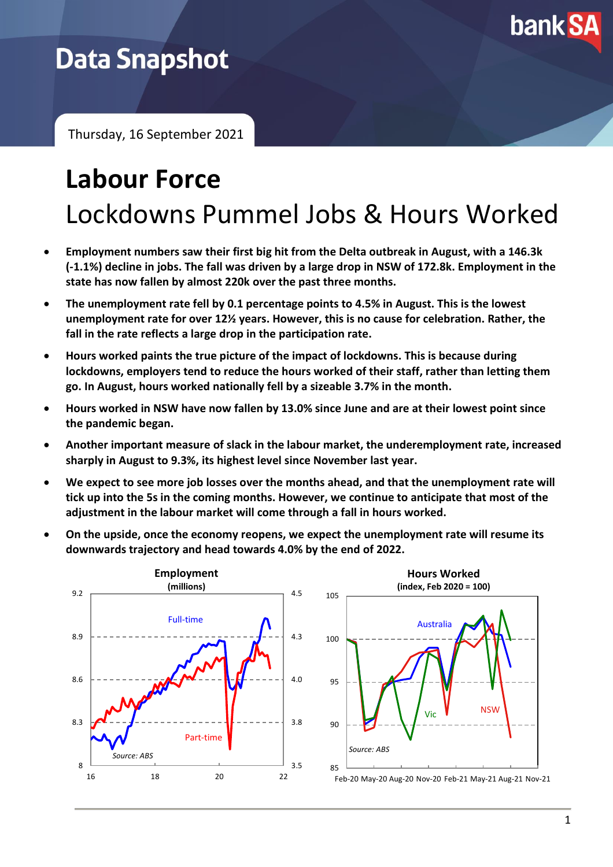

### **Data Snapshot**

Thursday, 16 September 2021

## **Labour Force** Lockdowns Pummel Jobs & Hours Worked

- **Employment numbers saw their first big hit from the Delta outbreak in August, with a 146.3k (-1.1%) decline in jobs. The fall was driven by a large drop in NSW of 172.8k. Employment in the state has now fallen by almost 220k over the past three months.**
- **The unemployment rate fell by 0.1 percentage points to 4.5% in August. This is the lowest unemployment rate for over 12½ years. However, this is no cause for celebration. Rather, the fall in the rate reflects a large drop in the participation rate.**
- **Hours worked paints the true picture of the impact of lockdowns. This is because during lockdowns, employers tend to reduce the hours worked of their staff, rather than letting them go. In August, hours worked nationally fell by a sizeable 3.7% in the month.**
- **Hours worked in NSW have now fallen by 13.0% since June and are at their lowest point since the pandemic began.**
- **Another important measure of slack in the labour market, the underemployment rate, increased sharply in August to 9.3%, its highest level since November last year.**
- **We expect to see more job losses over the months ahead, and that the unemployment rate will tick up into the 5s in the coming months. However, we continue to anticipate that most of the adjustment in the labour market will come through a fall in hours worked.**
- **On the upside, once the economy reopens, we expect the unemployment rate will resume its downwards trajectory and head towards 4.0% by the end of 2022.**



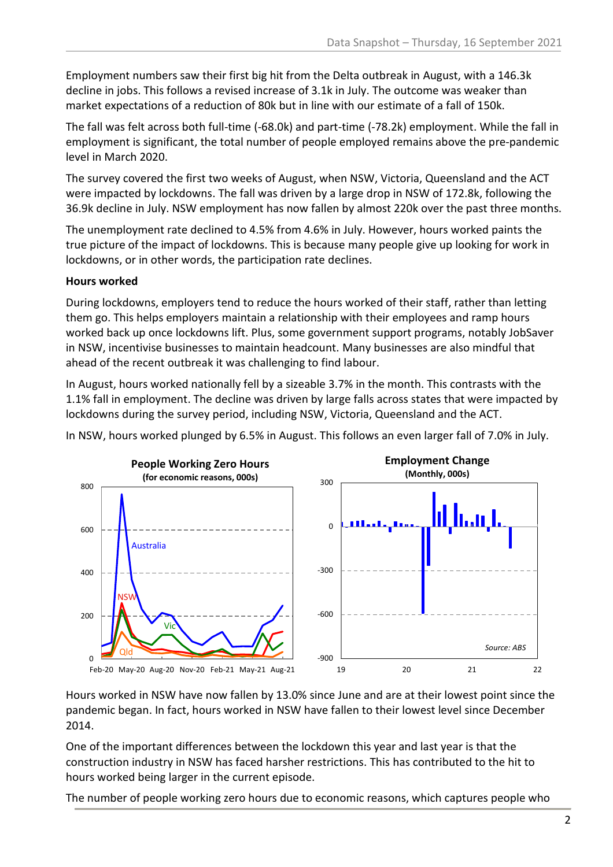Employment numbers saw their first big hit from the Delta outbreak in August, with a 146.3k decline in jobs. This follows a revised increase of 3.1k in July. The outcome was weaker than market expectations of a reduction of 80k but in line with our estimate of a fall of 150k.

The fall was felt across both full-time (-68.0k) and part-time (-78.2k) employment. While the fall in employment is significant, the total number of people employed remains above the pre-pandemic level in March 2020.

The survey covered the first two weeks of August, when NSW, Victoria, Queensland and the ACT were impacted by lockdowns. The fall was driven by a large drop in NSW of 172.8k, following the 36.9k decline in July. NSW employment has now fallen by almost 220k over the past three months.

The unemployment rate declined to 4.5% from 4.6% in July. However, hours worked paints the true picture of the impact of lockdowns. This is because many people give up looking for work in lockdowns, or in other words, the participation rate declines.

#### **Hours worked**

During lockdowns, employers tend to reduce the hours worked of their staff, rather than letting them go. This helps employers maintain a relationship with their employees and ramp hours worked back up once lockdowns lift. Plus, some government support programs, notably JobSaver in NSW, incentivise businesses to maintain headcount. Many businesses are also mindful that ahead of the recent outbreak it was challenging to find labour.

In August, hours worked nationally fell by a sizeable 3.7% in the month. This contrasts with the 1.1% fall in employment. The decline was driven by large falls across states that were impacted by lockdowns during the survey period, including NSW, Victoria, Queensland and the ACT.

In NSW, hours worked plunged by 6.5% in August. This follows an even larger fall of 7.0% in July.



Hours worked in NSW have now fallen by 13.0% since June and are at their lowest point since the pandemic began. In fact, hours worked in NSW have fallen to their lowest level since December 2014.

One of the important differences between the lockdown this year and last year is that the construction industry in NSW has faced harsher restrictions. This has contributed to the hit to hours worked being larger in the current episode.

The number of people working zero hours due to economic reasons, which captures people who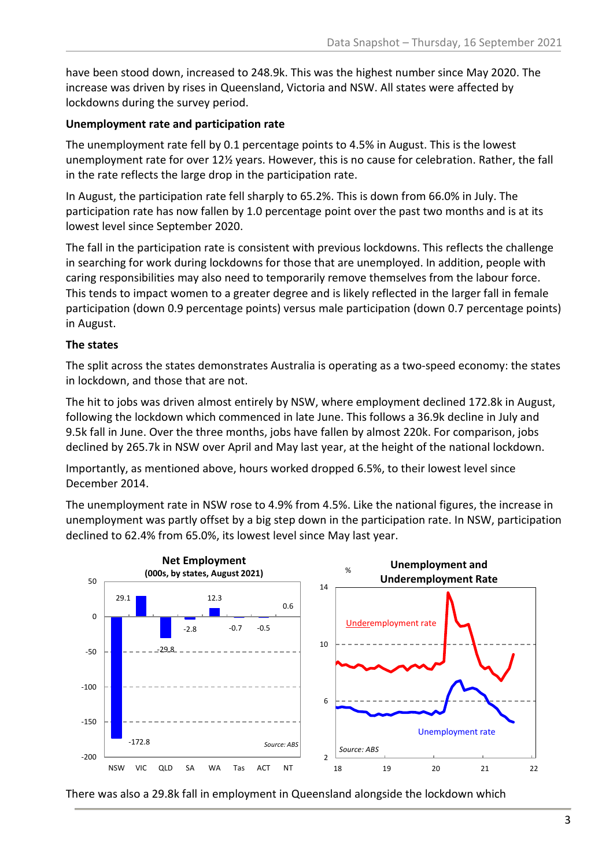have been stood down, increased to 248.9k. This was the highest number since May 2020. The increase was driven by rises in Queensland, Victoria and NSW. All states were affected by lockdowns during the survey period.

#### **Unemployment rate and participation rate**

The unemployment rate fell by 0.1 percentage points to 4.5% in August. This is the lowest unemployment rate for over 12½ years. However, this is no cause for celebration. Rather, the fall in the rate reflects the large drop in the participation rate.

In August, the participation rate fell sharply to 65.2%. This is down from 66.0% in July. The participation rate has now fallen by 1.0 percentage point over the past two months and is at its lowest level since September 2020.

The fall in the participation rate is consistent with previous lockdowns. This reflects the challenge in searching for work during lockdowns for those that are unemployed. In addition, people with caring responsibilities may also need to temporarily remove themselves from the labour force. This tends to impact women to a greater degree and is likely reflected in the larger fall in female participation (down 0.9 percentage points) versus male participation (down 0.7 percentage points) in August.

#### **The states**

The split across the states demonstrates Australia is operating as a two-speed economy: the states in lockdown, and those that are not.

The hit to jobs was driven almost entirely by NSW, where employment declined 172.8k in August, following the lockdown which commenced in late June. This follows a 36.9k decline in July and 9.5k fall in June. Over the three months, jobs have fallen by almost 220k. For comparison, jobs declined by 265.7k in NSW over April and May last year, at the height of the national lockdown.

Importantly, as mentioned above, hours worked dropped 6.5%, to their lowest level since December 2014.

The unemployment rate in NSW rose to 4.9% from 4.5%. Like the national figures, the increase in unemployment was partly offset by a big step down in the participation rate. In NSW, participation declined to 62.4% from 65.0%, its lowest level since May last year.



There was also a 29.8k fall in employment in Queensland alongside the lockdown which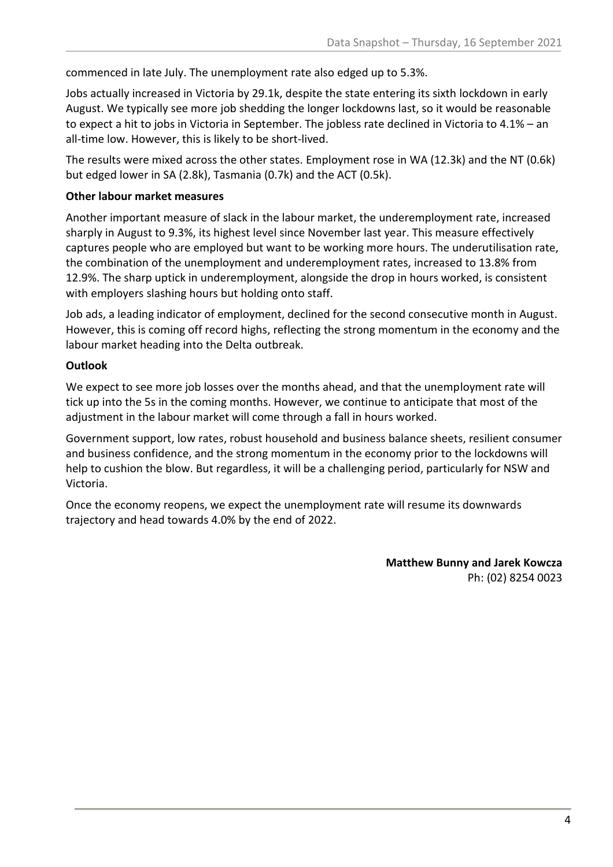commenced in late July. The unemployment rate also edged up to 5.3%.

Jobs actually increased in Victoria by 29.1k, despite the state entering its sixth lockdown in early August. We typically see more job shedding the longer lockdowns last, so it would be reasonable to expect a hit to jobs in Victoria in September. The jobless rate declined in Victoria to 4.1% – an all-time low. However, this is likely to be short-lived.

The results were mixed across the other states. Employment rose in WA (12.3k) and the NT (0.6k) but edged lower in SA (2.8k), Tasmania (0.7k) and the ACT (0.5k).

#### **Other labour market measures**

Another important measure of slack in the labour market, the underemployment rate, increased sharply in August to 9.3%, its highest level since November last year. This measure effectively captures people who are employed but want to be working more hours. The underutilisation rate, the combination of the unemployment and underemployment rates, increased to 13.8% from 12.9%. The sharp uptick in underemployment, alongside the drop in hours worked, is consistent with employers slashing hours but holding onto staff.

Job ads, a leading indicator of employment, declined for the second consecutive month in August. However, this is coming off record highs, reflecting the strong momentum in the economy and the labour market heading into the Delta outbreak.

#### **Outlook**

We expect to see more job losses over the months ahead, and that the unemployment rate will tick up into the 5s in the coming months. However, we continue to anticipate that most of the adjustment in the labour market will come through a fall in hours worked.

Government support, low rates, robust household and business balance sheets, resilient consumer and business confidence, and the strong momentum in the economy prior to the lockdowns will help to cushion the blow. But regardless, it will be a challenging period, particularly for NSW and Victoria.

Once the economy reopens, we expect the unemployment rate will resume its downwards trajectory and head towards 4.0% by the end of 2022.

> **Matthew Bunny and Jarek Kowcza** Ph: (02) 8254 0023